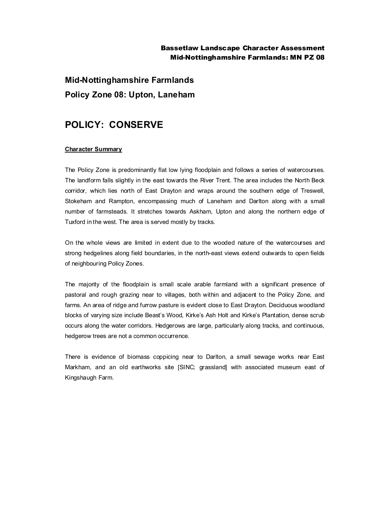### Bassetlaw Landscape Character Assessment Mid-Nottinghamshire Farmlands: MN PZ 08

# **Mid-Nottinghamshire Farmlands Policy Zone 08: Upton, Laneham**

## **POLICY: CONSERVE**

#### **Character Summary**

The Policy Zone is predominantly flat low lying floodplain and follows a series of watercourses. The landform falls slightly in the east towards the River Trent. The area includes the North Beck corridor, which lies north of East Drayton and wraps around the southern edge of Treswell, Stokeham and Rampton, encompassing much of Laneham and Darlton along with a small number of farmsteads. It stretches towards Askham, Upton and along the northern edge of Tuxford in the west. The area is served mostly by tracks.

On the whole views are limited in extent due to the wooded nature of the watercourses and strong hedgelines along field boundaries, in the north-east views extend outwards to open fields of neighbouring Policy Zones.

The majority of the floodplain is small scale arable farmland with a significant presence of pastoral and rough grazing near to villages, both within and adjacent to the Policy Zone, and farms. An area of ridge and furrow pasture is evident close to East Drayton. Deciduous woodland blocks of varying size include Beast's Wood, Kirke's Ash Holt and Kirke's Plantation, dense scrub occurs along the water corridors. Hedgerows are large, particularly along tracks, and continuous, hedgerow trees are not a common occurrence.

There is evidence of biomass coppicing near to Darlton, a small sewage works near East Markham, and an old earthworks site [SINC; grassland] with associated museum east of Kingshaugh Farm.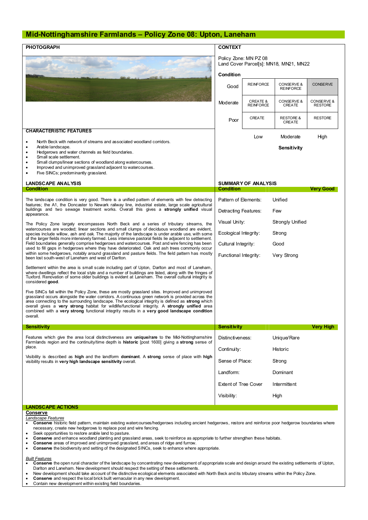#### **Mid-Nottinghamshire Farmlands – Policy Zone 08: Upton, Laneham**

| <b>PHOTOGRAPH</b>                                                                                                                                                                                                                                                                                                                                                                                                                                                                                                                                                                                                                                                                                                                                                     | <b>CONTEXT</b>                                                  |                                         |                                |                              |
|-----------------------------------------------------------------------------------------------------------------------------------------------------------------------------------------------------------------------------------------------------------------------------------------------------------------------------------------------------------------------------------------------------------------------------------------------------------------------------------------------------------------------------------------------------------------------------------------------------------------------------------------------------------------------------------------------------------------------------------------------------------------------|-----------------------------------------------------------------|-----------------------------------------|--------------------------------|------------------------------|
|                                                                                                                                                                                                                                                                                                                                                                                                                                                                                                                                                                                                                                                                                                                                                                       | Policy Zone: MN PZ 08<br>Land Cover Parcel[s]: MN18, MN21, MN22 |                                         |                                |                              |
|                                                                                                                                                                                                                                                                                                                                                                                                                                                                                                                                                                                                                                                                                                                                                                       | Condition<br>Good                                               | <b>REINFORCE</b>                        | CONSERVE &<br><b>REINFORCE</b> | <b>CONSERVE</b>              |
|                                                                                                                                                                                                                                                                                                                                                                                                                                                                                                                                                                                                                                                                                                                                                                       | Moderate                                                        | <b>CREATE &amp;</b><br><b>REINFORCE</b> | CONSERVE &<br>CREATE           | CONSERVE &<br><b>RESTORE</b> |
|                                                                                                                                                                                                                                                                                                                                                                                                                                                                                                                                                                                                                                                                                                                                                                       | Poor                                                            | CREATE                                  | <b>RESTORE &amp;</b><br>CREATE | <b>RESTORE</b>               |
| <b>CHARACTERISTIC FEATURES</b>                                                                                                                                                                                                                                                                                                                                                                                                                                                                                                                                                                                                                                                                                                                                        |                                                                 | Low                                     | Moderate                       | High                         |
| North Beck with network of streams and associated woodland corridors.<br>$\bullet$<br>Arable landscape.<br>Hedgerows and water channels as field boundaries.<br>٠<br>Small scale settlement.<br>Small clumps/linear sections of woodland along watercourses.<br>Improved and unimproved grassland adjacent to watercourses.<br>٠<br>Five SINCs; predominantly grassland.<br>٠                                                                                                                                                                                                                                                                                                                                                                                         |                                                                 |                                         | Sensitivity                    |                              |
| <b>LANDSCAPE ANALYSIS</b>                                                                                                                                                                                                                                                                                                                                                                                                                                                                                                                                                                                                                                                                                                                                             | <b>SUMMARY OF ANALYSIS</b>                                      |                                         |                                |                              |
| <b>Condition</b><br>The landscape condition is very good. There is a unified pattern of elements with few detracting<br>features; the A1, the Doncaster to Newark railway line, industrial estate, large scale agricultural<br>buildings and two sewage treatment works. Overall this gives a strongly unified visual<br>appearance.                                                                                                                                                                                                                                                                                                                                                                                                                                  | Condition<br>Pattern of Elements:                               |                                         |                                | <b>Very Good</b>             |
|                                                                                                                                                                                                                                                                                                                                                                                                                                                                                                                                                                                                                                                                                                                                                                       | Detracting Features:                                            |                                         | Unified<br>Few                 |                              |
| The Policy Zone largely encompasses North Beck and a series of tributary streams, the<br>watercourses are wooded; linear sections and small clumps of deciduous woodland are evident,<br>species include willow, ash and oak. The majority of the landscape is under arable use, with some<br>of the larger fields more intensively farmed. Less intensive pastoral fields lie adjacent to settlement.<br>Field boundaries generally comprise hedgerows and watercourses. Post and wire fencing has been<br>used to fill gaps in hedgerows where they have deteriorated. Oak and ash trees commonly occur<br>within some hedgerows, notably around grassland and pasture fields. The field pattern has mostly<br>been lost south-west of Laneham and west of Darlton. | Visual Unity:                                                   |                                         | Strongly Unified               |                              |
|                                                                                                                                                                                                                                                                                                                                                                                                                                                                                                                                                                                                                                                                                                                                                                       | Ecological Integrity:<br>Strong                                 |                                         |                                |                              |
|                                                                                                                                                                                                                                                                                                                                                                                                                                                                                                                                                                                                                                                                                                                                                                       | Cultural Integrity:                                             |                                         | Good                           |                              |
|                                                                                                                                                                                                                                                                                                                                                                                                                                                                                                                                                                                                                                                                                                                                                                       | Functional Integrity:                                           |                                         | Very Strong                    |                              |
| Settlement within the area is small scale including part of Upton, Darlton and most of Laneham,<br>where dwellings reflect the local style and a number of buildings are listed, along with the fringes of<br>Tuxford. Renovation of some older buildings is evident at Laneham. The overall cultural integrity is<br>considered good.                                                                                                                                                                                                                                                                                                                                                                                                                                |                                                                 |                                         |                                |                              |
| Five SINCs fall within the Policy Zone, these are mostly grassland sites. Improved and unimproved<br>grassland occurs alongside the water corridors. A continuous green network is provided across the<br>area connecting to the surrounding landscape. The ecological integrity is defined as strong which<br>overall gives a very strong habitat for wildlife/functional integrity. A strongly unified area<br>combined with a very strong functional integrity results in a very good landscape condition<br>overall.                                                                                                                                                                                                                                              |                                                                 |                                         |                                |                              |
| <b>Sensitivity</b>                                                                                                                                                                                                                                                                                                                                                                                                                                                                                                                                                                                                                                                                                                                                                    | <b>Sensitivity</b>                                              |                                         |                                | Very High                    |
| Features which give the area local distinctiveness are unique/rare to the Mid-Nottinghamshire<br>Farmlands region and the continuity/time depth is historic [post 1600] giving a strong sense of<br>place.<br>Visibility is described as high and the landform dominant. A strong sense of place with high                                                                                                                                                                                                                                                                                                                                                                                                                                                            | Distinctiveness:                                                |                                         | Unique/Rare                    |                              |
|                                                                                                                                                                                                                                                                                                                                                                                                                                                                                                                                                                                                                                                                                                                                                                       | Continuity:                                                     |                                         | Historic                       |                              |
| visibility results in very high landscape sensitivity overall.                                                                                                                                                                                                                                                                                                                                                                                                                                                                                                                                                                                                                                                                                                        | Sense of Place:                                                 |                                         | Strong                         |                              |
|                                                                                                                                                                                                                                                                                                                                                                                                                                                                                                                                                                                                                                                                                                                                                                       | Landform:                                                       |                                         | Dominant                       |                              |
|                                                                                                                                                                                                                                                                                                                                                                                                                                                                                                                                                                                                                                                                                                                                                                       | <b>Extent of Tree Cover</b>                                     |                                         | Intermittent                   |                              |
|                                                                                                                                                                                                                                                                                                                                                                                                                                                                                                                                                                                                                                                                                                                                                                       |                                                                 |                                         |                                |                              |
|                                                                                                                                                                                                                                                                                                                                                                                                                                                                                                                                                                                                                                                                                                                                                                       | Visibility:                                                     |                                         | High                           |                              |

- necessary, create new hedgerows to replace post and wire fencing.
- Seek opportunities to restore arable land to pasture.<br>• Conserve and enhance woodland planting and gras
- · **Conserve** and enhance woodland planting and grassland areas, seek to reinforce as appropriate to further strengthen these habitats.
- · **Conserve** areas of improved and unimproved grassland, and areas of ridge and furrow.
- · **Conserve** the biodiversity and setting of the designated SINCs, seek to enhance where appropriate.

- *Built Features* · **Conserve** the open rural character of the landscape by concentrating new development of appropriate scale and design around the existing settlements of Upton, Darlton and Laneham. New development should respect the setting of these settlements.
- · New development should take account of the distinctive ecological elements associated with North Beck and its tributary streams within the Policy Zone.
- · **Conserve** and respect the local brick built vernacular in any new development.
- Contain new development within existing field boundaries.